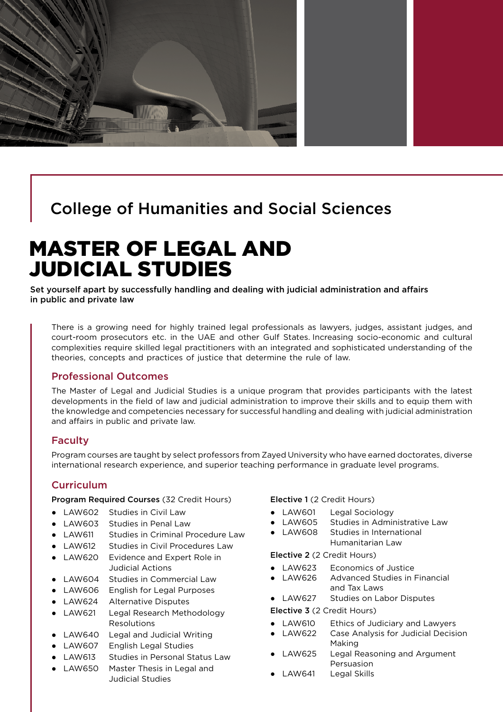

# College of Humanities and Social Sciences

# MASTER OF LEGAL AND JUDICIAL STUDIES

Set yourself apart by successfully handling and dealing with judicial administration and affairs in public and private law

There is a growing need for highly trained legal professionals as lawyers, judges, assistant judges, and court-room prosecutors etc. in the UAE and other Gulf States. Increasing socio-economic and cultural complexities require skilled legal practitioners with an integrated and sophisticated understanding of the theories, concepts and practices of justice that determine the rule of law.

#### Professional Outcomes

The Master of Legal and Judicial Studies is a unique program that provides participants with the latest developments in the field of law and judicial administration to improve their skills and to equip them with the knowledge and competencies necessary for successful handling and dealing with judicial administration and affairs in public and private law.

#### Faculty

Program courses are taught by select professors from Zayed University who have earned doctorates, diverse international research experience, and superior teaching performance in graduate level programs.

#### **Curriculum**

Program Required Courses (32 Credit Hours)

- LAW602 Studies in Civil Law
- LAW603 Studies in Penal Law
- LAW611 Studies in Criminal Procedure Law
- LAW612 Studies in Civil Procedures Law
- LAW620 Evidence and Expert Role in Judicial Actions
- LAW604 Studies in Commercial Law
- LAW606 English for Legal Purposes
- LAW624 Alternative Disputes
- LAW621 Legal Research Methodology Resolutions
- LAW640 Legal and Judicial Writing
- LAW607 English Legal Studies
- LAW613 Studies in Personal Status Law
- LAW650 Master Thesis in Legal and Judicial Studies

Elective 1 (2 Credit Hours)

- LAW601 Legal Sociology
- LAW605 Studies in Administrative Law
- LAW608 Studies in International Humanitarian Law

Elective 2 (2 Credit Hours)

- LAW623 Economics of Justice
- LAW626 Advanced Studies in Financial and Tax Laws
- LAW627 Studies on Labor Disputes

Elective 3 (2 Credit Hours)

- LAW610 Ethics of Judiciary and Lawyers
- LAW622 Case Analysis for Judicial Decision Making
- LAW625 Legal Reasoning and Argument Persuasion
- LAW641 Legal Skills